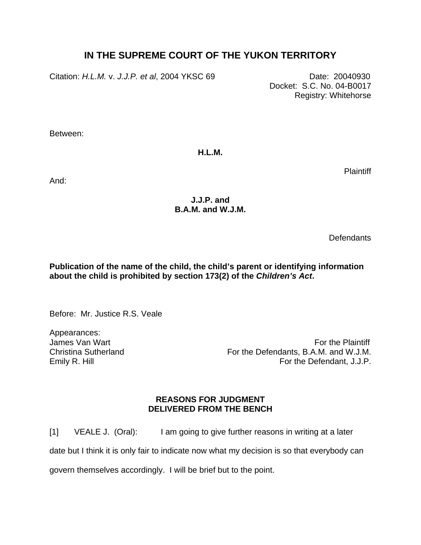## **IN THE SUPREME COURT OF THE YUKON TERRITORY**

Citation: *H.L.M.* v. *J.J.P. et al*, 2004 YKSC 69 Date: 20040930

 Docket: S.C. No. 04-B0017 Registry: Whitehorse

Between:

**H.L.M.** 

**Plaintiff** 

And:

## **J.J.P. and B.A.M. and W.J.M.**

**Defendants** 

**Publication of the name of the child, the child's parent or identifying information about the child is prohibited by section 173(2) of the** *Children's Act***.** 

Before: Mr. Justice R.S. Veale

Appearances:

James Van Wart **For the Plaintiff** Superintensity of the Plaintiff Superintensity of the Plaintiff Superintensity of the Plaintiff Superintensity of the Plaintiff Superintensity of the Plaintiff Superintensity of the Plain Christina Sutherland **For the Defendants, B.A.M. and W.J.M.** Christina Sutherland Emily R. Hill For the Defendant, J.J.P.

## **REASONS FOR JUDGMENT DELIVERED FROM THE BENCH**

[1] VEALE J. (Oral): I am going to give further reasons in writing at a later

date but I think it is only fair to indicate now what my decision is so that everybody can

govern themselves accordingly. I will be brief but to the point.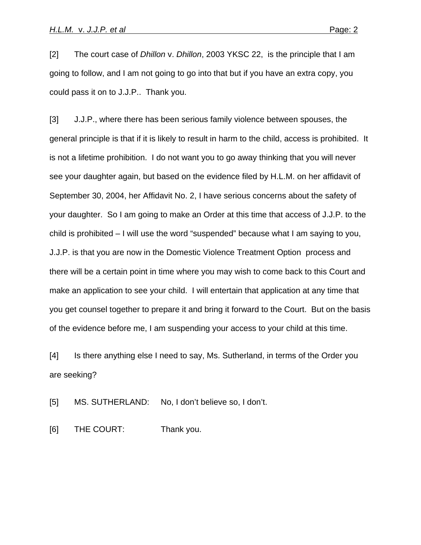[2] The court case of *Dhillon* v. *Dhillon*, 2003 YKSC 22, is the principle that I am going to follow, and I am not going to go into that but if you have an extra copy, you could pass it on to J.J.P.. Thank you.

[3] J.J.P., where there has been serious family violence between spouses, the general principle is that if it is likely to result in harm to the child, access is prohibited. It is not a lifetime prohibition. I do not want you to go away thinking that you will never see your daughter again, but based on the evidence filed by H.L.M. on her affidavit of September 30, 2004, her Affidavit No. 2, I have serious concerns about the safety of your daughter. So I am going to make an Order at this time that access of J.J.P. to the child is prohibited – I will use the word "suspended" because what I am saying to you, J.J.P. is that you are now in the Domestic Violence Treatment Option process and there will be a certain point in time where you may wish to come back to this Court and make an application to see your child. I will entertain that application at any time that you get counsel together to prepare it and bring it forward to the Court. But on the basis of the evidence before me, I am suspending your access to your child at this time.

[4] Is there anything else I need to say, Ms. Sutherland, in terms of the Order you are seeking?

[5] MS. SUTHERLAND: No, I don't believe so, I don't.

[6] THE COURT: Thank you.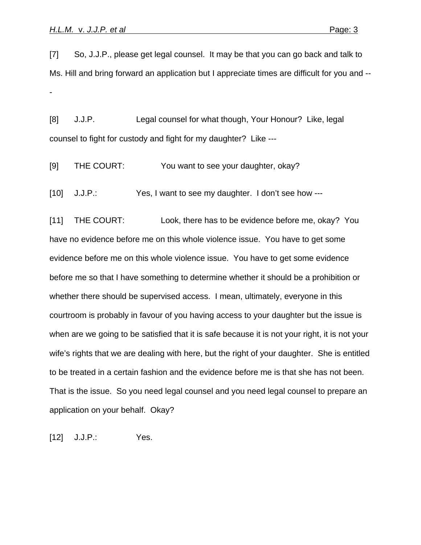[7] So, J.J.P., please get legal counsel. It may be that you can go back and talk to Ms. Hill and bring forward an application but I appreciate times are difficult for you and -- -

[8] J.J.P. Legal counsel for what though, Your Honour? Like, legal counsel to fight for custody and fight for my daughter? Like ---

[9] THE COURT: You want to see your daughter, okay?

[10] J.J.P.: Yes, I want to see my daughter. I don't see how ---

[11] THE COURT: Look, there has to be evidence before me, okay? You have no evidence before me on this whole violence issue. You have to get some evidence before me on this whole violence issue. You have to get some evidence before me so that I have something to determine whether it should be a prohibition or whether there should be supervised access. I mean, ultimately, everyone in this courtroom is probably in favour of you having access to your daughter but the issue is when are we going to be satisfied that it is safe because it is not your right, it is not your wife's rights that we are dealing with here, but the right of your daughter. She is entitled to be treated in a certain fashion and the evidence before me is that she has not been. That is the issue. So you need legal counsel and you need legal counsel to prepare an application on your behalf. Okay?

[12] J.J.P.: Yes.